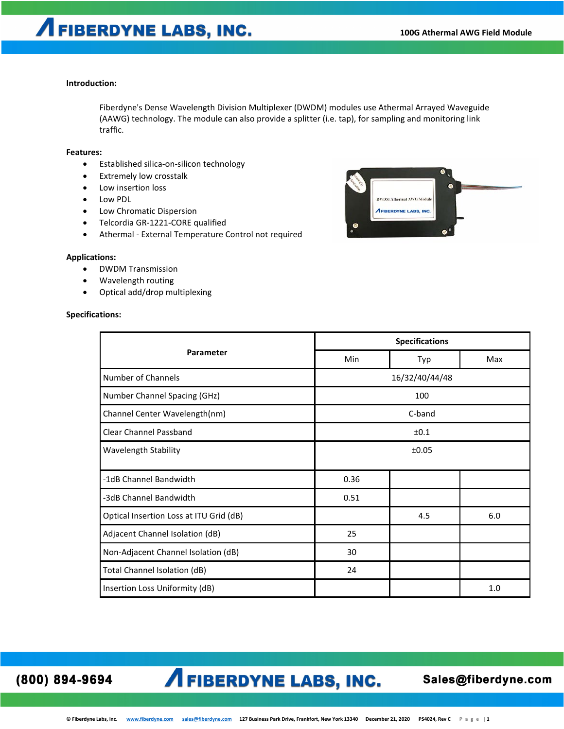### **Introduction:**

Fiberdyne's Dense Wavelength Division Multiplexer (DWDM) modules use Athermal Arrayed Waveguide (AAWG) technology. The module can also provide a splitter (i.e. tap), for sampling and monitoring link traffic.

#### **Features:**

- Established silica-on-silicon technology
- Extremely low crosstalk
- Low insertion loss
- Low PDL
- Low Chromatic Dispersion
- Telcordia GR-1221-CORE qualified
- Athermal External Temperature Control not required

#### **Applications:**

- DWDM Transmission
- Wavelength routing
- Optical add/drop multiplexing

#### **Specifications:**

|                                         | <b>Specifications</b> |                |     |  |  |  |
|-----------------------------------------|-----------------------|----------------|-----|--|--|--|
| Parameter                               | Min                   | Typ            | Max |  |  |  |
| Number of Channels                      |                       | 16/32/40/44/48 |     |  |  |  |
| Number Channel Spacing (GHz)            |                       | 100            |     |  |  |  |
| Channel Center Wavelength(nm)           |                       | C-band         |     |  |  |  |
| <b>Clear Channel Passband</b>           |                       | ±0.1           |     |  |  |  |
| <b>Wavelength Stability</b>             | ±0.05                 |                |     |  |  |  |
| -1dB Channel Bandwidth                  | 0.36                  |                |     |  |  |  |
| -3dB Channel Bandwidth                  | 0.51                  |                |     |  |  |  |
| Optical Insertion Loss at ITU Grid (dB) |                       | 4.5            | 6.0 |  |  |  |
| Adjacent Channel Isolation (dB)         | 25                    |                |     |  |  |  |
| Non-Adjacent Channel Isolation (dB)     | 30                    |                |     |  |  |  |
| Total Channel Isolation (dB)            | 24                    |                |     |  |  |  |
| Insertion Loss Uniformity (dB)          |                       |                | 1.0 |  |  |  |

(800) 894-9694

### **A FIBERDYNE LABS, INC.**

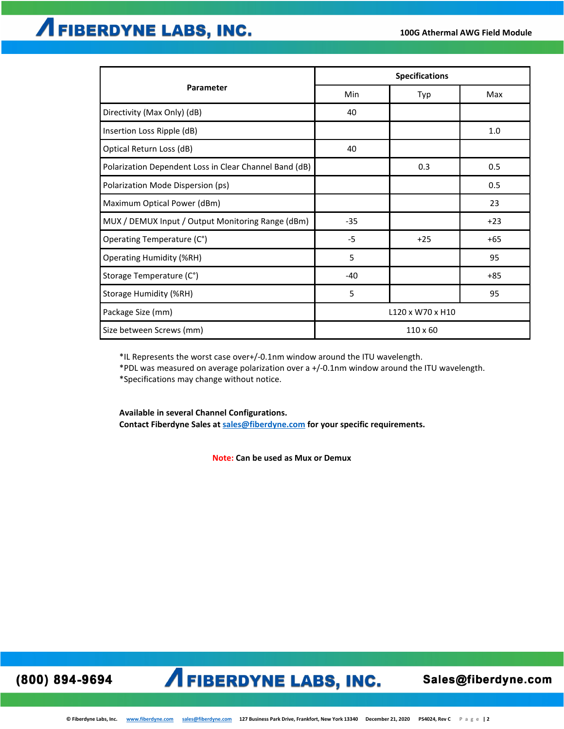|                                                        | <b>Specifications</b> |                 |       |  |  |  |
|--------------------------------------------------------|-----------------------|-----------------|-------|--|--|--|
| Parameter                                              | Min                   | Typ             | Max   |  |  |  |
| Directivity (Max Only) (dB)                            | 40                    |                 |       |  |  |  |
| Insertion Loss Ripple (dB)                             |                       |                 | 1.0   |  |  |  |
| Optical Return Loss (dB)                               | 40                    |                 |       |  |  |  |
| Polarization Dependent Loss in Clear Channel Band (dB) |                       | 0.3             | 0.5   |  |  |  |
| Polarization Mode Dispersion (ps)                      |                       |                 | 0.5   |  |  |  |
| Maximum Optical Power (dBm)                            |                       |                 | 23    |  |  |  |
| MUX / DEMUX Input / Output Monitoring Range (dBm)      | $-35$                 |                 | $+23$ |  |  |  |
| Operating Temperature (C°)                             | $-5$                  | $+25$           | +65   |  |  |  |
| <b>Operating Humidity (%RH)</b>                        | 5                     |                 | 95    |  |  |  |
| Storage Temperature (C°)                               | $-40$                 |                 | $+85$ |  |  |  |
| Storage Humidity (%RH)                                 | 5                     |                 | 95    |  |  |  |
| Package Size (mm)                                      | L120 x W70 x H10      |                 |       |  |  |  |
| Size between Screws (mm)                               |                       | $110 \times 60$ |       |  |  |  |

\*IL Represents the worst case over+/-0.1nm window around the ITU wavelength.

\*PDL was measured on average polarization over a +/-0.1nm window around the ITU wavelength.

\*Specifications may change without notice.

**Available in several Channel Configurations. Contact Fiberdyne Sales at [sales@fiberdyne.com](mailto:sales@fiberdyne.com) for your specific requirements.**

**Note: Can be used as Mux or Demux**

(800) 894-9694

## **AFIBERDYNE LABS, INC.**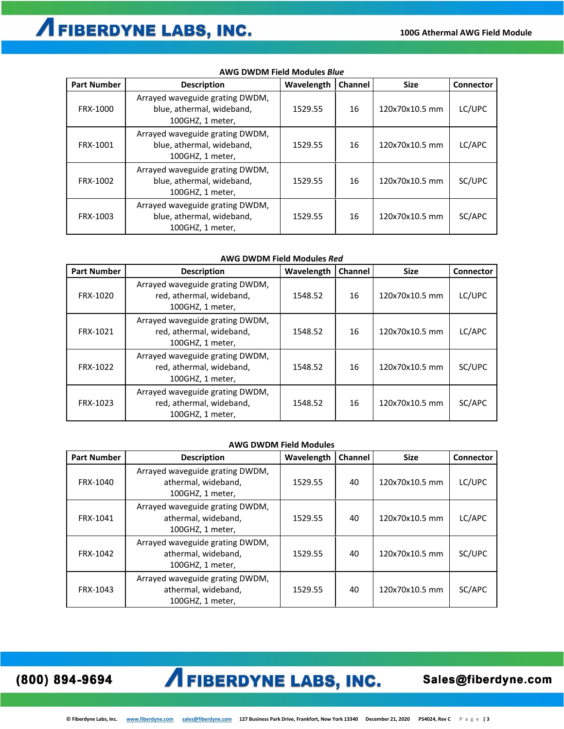| <b>Part Number</b> | <b>Description</b>                                                               | Wavelength | Channel | <b>Size</b>    | <b>Connector</b> |
|--------------------|----------------------------------------------------------------------------------|------------|---------|----------------|------------------|
| FRX-1000           | Arrayed waveguide grating DWDM,<br>blue, athermal, wideband,<br>100GHZ, 1 meter, | 1529.55    | 16      | 120x70x10.5 mm | LC/UPC           |
| FRX-1001           | Arrayed waveguide grating DWDM,<br>blue, athermal, wideband,<br>100GHZ, 1 meter, | 1529.55    | 16      | 120x70x10.5 mm | LC/APC           |
| FRX-1002           | Arrayed waveguide grating DWDM,<br>blue, athermal, wideband,<br>100GHZ, 1 meter, | 1529.55    | 16      | 120x70x10.5 mm | SC/UPC           |
| FRX-1003           | Arrayed waveguide grating DWDM,<br>blue, athermal, wideband,<br>100GHZ, 1 meter, | 1529.55    | 16      | 120x70x10.5 mm | SC/APC           |

### **AWG DWDM Field Modules** *Blue*

### **AWG DWDM Field Modules** *Red*

| <b>Part Number</b> | <b>Description</b>                                                              | Wavelength | <b>Channel</b> | <b>Size</b>    | <b>Connector</b> |
|--------------------|---------------------------------------------------------------------------------|------------|----------------|----------------|------------------|
| FRX-1020           | Arrayed waveguide grating DWDM,<br>red, athermal, wideband,<br>100GHZ, 1 meter, | 1548.52    | 16             | 120x70x10.5 mm | LC/UPC           |
| FRX-1021           | Arrayed waveguide grating DWDM,<br>red, athermal, wideband,<br>100GHZ, 1 meter, | 1548.52    | 16             | 120x70x10.5 mm | LC/APC           |
| FRX-1022           | Arrayed waveguide grating DWDM,<br>red, athermal, wideband,<br>100GHZ, 1 meter, | 1548.52    | 16             | 120x70x10.5 mm | SC/UPC           |
| FRX-1023           | Arrayed waveguide grating DWDM,<br>red, athermal, wideband,<br>100GHZ, 1 meter, | 1548.52    | 16             | 120x70x10.5 mm | SC/APC           |

### **AWG DWDM Field Modules**

| <b>Part Number</b> | <b>Description</b>                                                         | Wavelength | <b>Channel</b> | <b>Size</b>    | Connector |
|--------------------|----------------------------------------------------------------------------|------------|----------------|----------------|-----------|
| FRX-1040           | Arrayed waveguide grating DWDM,<br>athermal, wideband,<br>100GHZ, 1 meter, | 1529.55    | 40             | 120x70x10.5 mm | LC/UPC    |
| FRX-1041           | Arrayed waveguide grating DWDM,<br>athermal, wideband,<br>100GHZ, 1 meter, | 1529.55    | 40             | 120x70x10.5 mm | LC/APC    |
| FRX-1042           | Arrayed waveguide grating DWDM,<br>athermal, wideband,<br>100GHZ, 1 meter, | 1529.55    | 40             | 120x70x10.5 mm | SC/UPC    |
| FRX-1043           | Arrayed waveguide grating DWDM,<br>athermal, wideband,<br>100GHZ, 1 meter, | 1529.55    | 40             | 120x70x10.5 mm | SC/APC    |

(800) 894-9694

## **AFIBERDYNE LABS, INC.**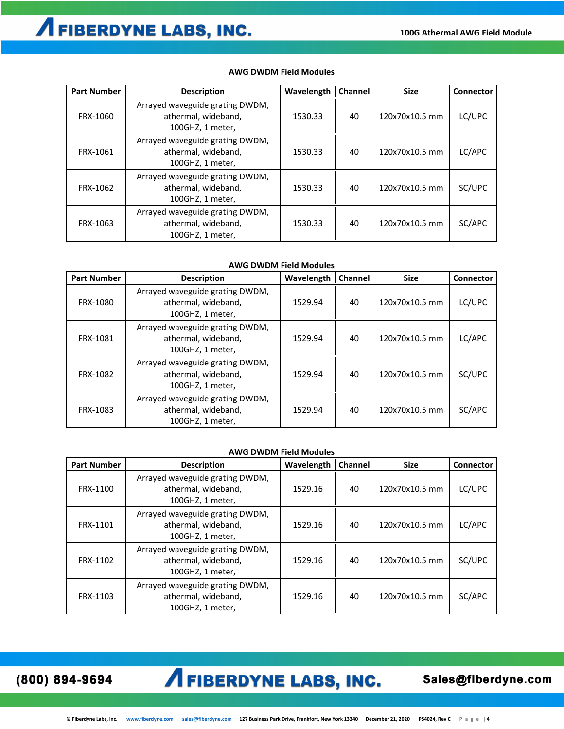| <b>Part Number</b> | <b>Description</b>                                                         | Wavelength | Channel | <b>Size</b>    | Connector |
|--------------------|----------------------------------------------------------------------------|------------|---------|----------------|-----------|
| FRX-1060           | Arrayed waveguide grating DWDM,<br>athermal, wideband,<br>100GHZ, 1 meter, | 1530.33    | 40      | 120x70x10.5 mm | LC/UPC    |
| FRX-1061           | Arrayed waveguide grating DWDM,<br>athermal, wideband,<br>100GHZ, 1 meter, | 1530.33    | 40      | 120x70x10.5 mm | LC/APC    |
| FRX-1062           | Arrayed waveguide grating DWDM,<br>athermal, wideband,<br>100GHZ, 1 meter, | 1530.33    | 40      | 120x70x10.5 mm | SC/UPC    |
| FRX-1063           | Arrayed waveguide grating DWDM,<br>athermal, wideband,<br>100GHZ, 1 meter, | 1530.33    | 40      | 120x70x10.5 mm | SC/APC    |

### **AWG DWDM Field Modules**

### **AWG DWDM Field Modules**

| <b>Part Number</b> | <b>Description</b>                                                         | Wavelength | <b>Channel</b> | <b>Size</b>    | <b>Connector</b> |
|--------------------|----------------------------------------------------------------------------|------------|----------------|----------------|------------------|
| FRX-1080           | Arrayed waveguide grating DWDM,<br>athermal, wideband,<br>100GHZ, 1 meter, | 1529.94    | 40             | 120x70x10.5 mm | LC/UPC           |
| FRX-1081           | Arrayed waveguide grating DWDM,<br>athermal, wideband,<br>100GHZ, 1 meter, | 1529.94    | 40             | 120x70x10.5 mm | LC/APC           |
| FRX-1082           | Arrayed waveguide grating DWDM,<br>athermal, wideband,<br>100GHZ, 1 meter, | 1529.94    | 40             | 120x70x10.5 mm | SC/UPC           |
| FRX-1083           | Arrayed waveguide grating DWDM,<br>athermal, wideband,<br>100GHZ, 1 meter, | 1529.94    | 40             | 120x70x10.5 mm | SC/APC           |

### **AWG DWDM Field Modules**

| <b>Part Number</b> | <b>Description</b>                                                         | Wavelength | <b>Channel</b> | <b>Size</b>    | <b>Connector</b> |
|--------------------|----------------------------------------------------------------------------|------------|----------------|----------------|------------------|
| FRX-1100           | Arrayed waveguide grating DWDM,<br>athermal, wideband,<br>100GHZ, 1 meter, | 1529.16    | 40             | 120x70x10.5 mm | LC/UPC           |
| FRX-1101           | Arrayed waveguide grating DWDM,<br>athermal, wideband,<br>100GHZ, 1 meter, | 1529.16    | 40             | 120x70x10.5 mm | LC/APC           |
| FRX-1102           | Arrayed waveguide grating DWDM,<br>athermal, wideband,<br>100GHZ, 1 meter, | 1529.16    | 40             | 120x70x10.5 mm | SC/UPC           |
| FRX-1103           | Arrayed waveguide grating DWDM,<br>athermal, wideband,<br>100GHZ. 1 meter. | 1529.16    | 40             | 120x70x10.5 mm | SC/APC           |

(800) 894-9694

# **AFIBERDYNE LABS, INC.**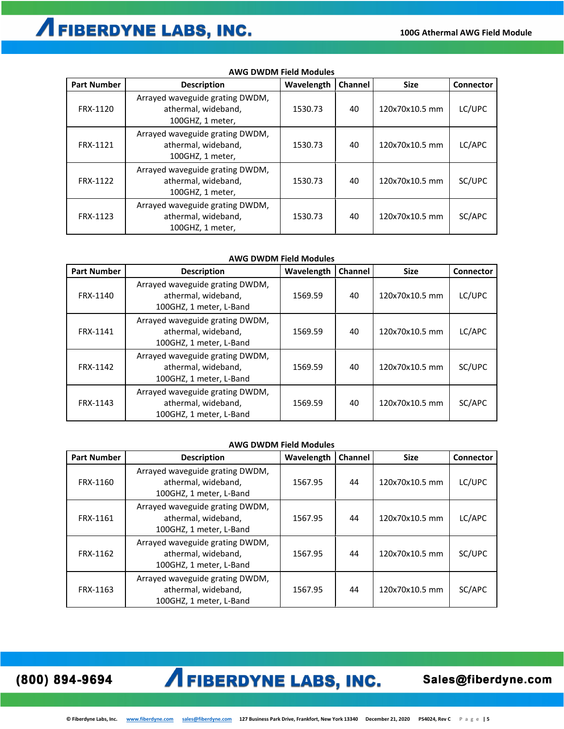# **AFIBERDYNE LABS, INC.**

| <b>Part Number</b> | <b>Description</b>                                                         | Wavelength | Channel | <b>Size</b>    | <b>Connector</b> |
|--------------------|----------------------------------------------------------------------------|------------|---------|----------------|------------------|
| FRX-1120           | Arrayed waveguide grating DWDM,<br>athermal, wideband,<br>100GHZ, 1 meter, | 1530.73    | 40      | 120x70x10.5 mm | LC/UPC           |
| FRX-1121           | Arrayed waveguide grating DWDM,<br>athermal, wideband,<br>100GHZ, 1 meter, | 1530.73    | 40      | 120x70x10.5 mm | LC/APC           |
| FRX-1122           | Arrayed waveguide grating DWDM,<br>athermal, wideband,<br>100GHZ, 1 meter, | 1530.73    | 40      | 120x70x10.5 mm | SC/UPC           |
| FRX-1123           | Arrayed waveguide grating DWDM,<br>athermal, wideband,<br>100GHZ, 1 meter, | 1530.73    | 40      | 120x70x10.5 mm | SC/APC           |

### **AWG DWDM Field Modules**

### **AWG DWDM Field Modules**

| <b>Part Number</b> | <b>Description</b>                                                                | Wavelength | Channel | <b>Size</b>    | Connector |
|--------------------|-----------------------------------------------------------------------------------|------------|---------|----------------|-----------|
| FRX-1140           | Arrayed waveguide grating DWDM,<br>athermal, wideband,<br>100GHZ, 1 meter, L-Band | 1569.59    | 40      | 120x70x10.5 mm | LC/UPC    |
| FRX-1141           | Arrayed waveguide grating DWDM,<br>athermal, wideband,<br>100GHZ, 1 meter, L-Band | 1569.59    | 40      | 120x70x10.5 mm | LC/APC    |
| FRX-1142           | Arrayed waveguide grating DWDM,<br>athermal, wideband,<br>100GHZ, 1 meter, L-Band | 1569.59    | 40      | 120x70x10.5 mm | SC/UPC    |
| FRX-1143           | Arrayed waveguide grating DWDM,<br>athermal, wideband,<br>100GHZ, 1 meter, L-Band | 1569.59    | 40      | 120x70x10.5 mm | SC/APC    |

### **AWG DWDM Field Modules**

| <b>Part Number</b> | <b>Description</b>                                                                | Wavelength | <b>Channel</b> | <b>Size</b>    | Connector |
|--------------------|-----------------------------------------------------------------------------------|------------|----------------|----------------|-----------|
| FRX-1160           | Arrayed waveguide grating DWDM,<br>athermal, wideband,<br>100GHZ, 1 meter, L-Band | 1567.95    | 44             | 120x70x10.5 mm | LC/UPC    |
| FRX-1161           | Arrayed waveguide grating DWDM,<br>athermal, wideband,<br>100GHZ, 1 meter, L-Band | 1567.95    | 44             | 120x70x10.5 mm | LC/APC    |
| FRX-1162           | Arrayed waveguide grating DWDM,<br>athermal, wideband,<br>100GHZ, 1 meter, L-Band | 1567.95    | 44             | 120x70x10.5 mm | SC/UPC    |
| FRX-1163           | Arrayed waveguide grating DWDM,<br>athermal, wideband,<br>100GHZ, 1 meter, L-Band | 1567.95    | 44             | 120x70x10.5 mm | SC/APC    |

(800) 894-9694

## **AFIBERDYNE LABS, INC.**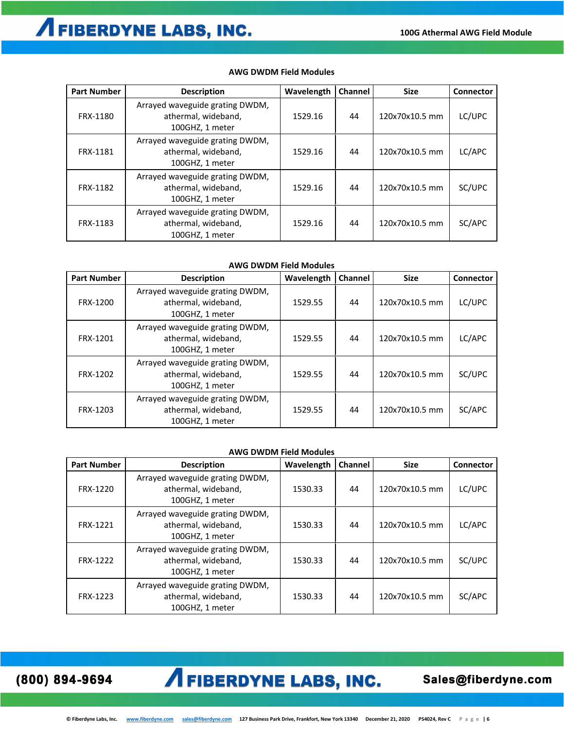| <b>Part Number</b> | <b>Description</b>                                                        | Wavelength | <b>Channel</b> | <b>Size</b>    | <b>Connector</b> |
|--------------------|---------------------------------------------------------------------------|------------|----------------|----------------|------------------|
| FRX-1180           | Arrayed waveguide grating DWDM,<br>athermal, wideband,<br>100GHZ, 1 meter | 1529.16    | 44             | 120x70x10.5 mm | LC/UPC           |
| FRX-1181           | Arrayed waveguide grating DWDM,<br>athermal, wideband,<br>100GHZ, 1 meter | 1529.16    | 44             | 120x70x10.5 mm | LC/APC           |
| FRX-1182           | Arrayed waveguide grating DWDM,<br>athermal, wideband,<br>100GHZ, 1 meter | 1529.16    | 44             | 120x70x10.5 mm | SC/UPC           |
| FRX-1183           | Arrayed waveguide grating DWDM,<br>athermal, wideband,<br>100GHZ, 1 meter | 1529.16    | 44             | 120x70x10.5 mm | SC/APC           |

#### **AWG DWDM Field Modules**

### **AWG DWDM Field Modules**

| <b>Part Number</b> | <b>Description</b>                                                        | Wavelength | Channel | <b>Size</b>    | Connector |
|--------------------|---------------------------------------------------------------------------|------------|---------|----------------|-----------|
| FRX-1200           | Arrayed waveguide grating DWDM,<br>athermal, wideband,<br>100GHZ, 1 meter | 1529.55    | 44      | 120x70x10.5 mm | LC/UPC    |
| FRX-1201           | Arrayed waveguide grating DWDM,<br>athermal, wideband,<br>100GHZ, 1 meter | 1529.55    | 44      | 120x70x10.5 mm | LC/APC    |
| FRX-1202           | Arrayed waveguide grating DWDM,<br>athermal, wideband,<br>100GHZ, 1 meter | 1529.55    | 44      | 120x70x10.5 mm | SC/UPC    |
| FRX-1203           | Arrayed waveguide grating DWDM,<br>athermal, wideband,<br>100GHZ, 1 meter | 1529.55    | 44      | 120x70x10.5 mm | SC/APC    |

### **AWG DWDM Field Modules**

| <b>Part Number</b> | <b>Description</b>                                                        | Wavelength | Channel | <b>Size</b>    | <b>Connector</b> |
|--------------------|---------------------------------------------------------------------------|------------|---------|----------------|------------------|
| FRX-1220           | Arrayed waveguide grating DWDM,<br>athermal, wideband,<br>100GHZ, 1 meter | 1530.33    | 44      | 120x70x10.5 mm | LC/UPC           |
| FRX-1221           | Arrayed waveguide grating DWDM,<br>athermal, wideband,<br>100GHZ, 1 meter | 1530.33    | 44      | 120x70x10.5 mm | LC/APC           |
| FRX-1222           | Arrayed waveguide grating DWDM,<br>athermal, wideband,<br>100GHZ, 1 meter | 1530.33    | 44      | 120x70x10.5 mm | SC/UPC           |
| FRX-1223           | Arrayed waveguide grating DWDM,<br>athermal, wideband,<br>100GHZ, 1 meter | 1530.33    | 44      | 120x70x10.5 mm | SC/APC           |

(800) 894-9694

# **AFIBERDYNE LABS, INC.**